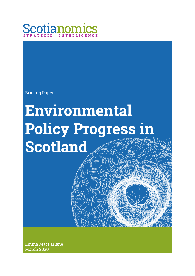

Briefing Paper

# **Environmental Policy Progress in Scotland**

Emma MacFarlane March 2020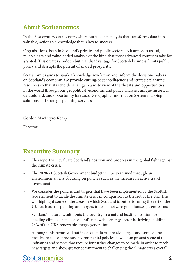### **About Scotianomics**

In the 21st century data is everywhere but it is the analysis that transforms data into valuable, actionable knowledge that is key to success.

Organisations, both in Scotland's private and public sectors, lack access to useful, reliable data and value-added analysis of the kind that most advanced countries take for granted. This creates a hidden but real disadvantage for Scottish business, limits public policy and disrupts the pursuit of shared prosperity.

Scotianomics aims to spark a knowledge revolution and inform the decision-makers on Scotland's economy. We provide cutting-edge intelligence and strategic planning resources so that stakeholders can gain a wide view of the threats and opportunities in the world through our geopolitical, economic and policy analysis, unique historical datasets, risk and opportunity forecasts, Geographic Information System mapping solutions and strategic planning services.

Gordon MacIntyre-Kemp

Director

#### **Executive Summary**

- This report will evaluate Scotland's position and progress in the global fight against the climate crisis.
- The 2020-21 Scottish Government budget will be examined through an environmental lens, focusing on policies such as the increase in active travel investment.
- We consider the policies and targets that have been implemented by the Scottish Government to tackle the climate crisis in comparison to the rest of the UK. This will highlight some of the areas in which Scotland is outperforming the rest of the UK, such as tree planting and targets to reach net zero greenhouse gas emissions.
- Scotland's natural wealth puts the country in a natural leading position for tackling climate change. Scotland's renewable energy sector is thriving, holding 26% of the UK's renewable energy generation.
- Although this report will outline Scotland's progressive targets and some of the positive results of previous environmental policies, it will also present some of the industries and sectors that require for further changes to be made in order to reach new targets and show greater commitment to challenging the climate crisis overall.

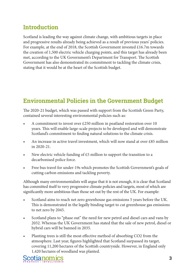#### **Introduction**

Scotland is leading the way against climate change, with ambitious targets in place and progressive results already being achieved as a result of previous years' policies. For example, at the end of 2018, the Scottish Government invested £16.7m towards the creation of 1,500 electric vehicle charging points, and this target has already been met, according to the UK Government's Department for Transport. The Scottish Government has also demonstrated its commitment to tackling the climate crisis, stating that it would be at the heart of the Scottish budget.

#### **Environmental Policies in the Government Budget**

The 2020-21 budget, which was passed with support from the Scottish Green Party, contained several interesting environmental policies such as:

- A commitment to invest over £250 million in peatland restoration over 10 years. This will enable large-scale projects to be developed and will demonstrate Scotland's commitment to finding natural solutions to the climate crisis.
- An increase in active travel investment, which will now stand at over £85 million in 2020-21.
- New electric vehicle funding of  $£5$  million to support the transition to a decarbonised police force.
- Free bus travel for under-19s which promotes the Scottish Government's goals of cutting carbon emissions and tackling poverty.

Although many environmentalists will argue that it is not enough, it is clear that Scotland has committed itself to very progressive climate policies and targets, most of which are significantly more ambitious than those set out by the rest of the UK. For example:

- Scotland aims to reach net zero greenhouse gas emissions 5 years before the UK. This is demonstrated in the legally binding target to cut greenhouse gas emissions to net zero by 2045.
- Scotland plans to "phase out" the need for new petrol and diesel cars and vans by 2032. Whereas the UK Government has stated that the sale of new petrol, diesel or hybrid cars will be banned in 2035.
- Planting trees is still the most effective method of absorbing CO2 from the atmosphere. Last year, figures highlighted that Scotland surpassed its target, covering 11,200 hectares of the Scottish countryside. However, in England only 1,420 hectares of woodland was planted.

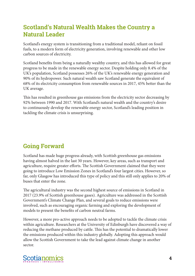#### **Scotland's Natural Wealth Makes the Country a Natural Leader**

Scotland's energy system is transitioning from a traditional model, reliant on fossil fuels, to a modern form of electricity generation, involving renewable and other low carbon sources of electricity.

Scotland benefits from being a naturally wealthy country, and this has allowed for great progress to be made in the renewable energy sector. Despite holding only 8.4% of the UK's population, Scotland possesses 26% of the UK's renewable energy generation and 90% of its hydropower. Such natural wealth saw Scotland generate the equivalent of 68% of its electricity consumption from renewable sources in 2017, 45% better than the UK average.

This has resulted in greenhouse gas emissions from the electricity sector decreasing by 92% between 1990 and 2017. With Scotland's natural wealth and the country's desire to continuously develop the renewable energy sector, Scotland's leading position in tackling the climate crisis is unsurprising.

#### **Going Forward**

Scotland has made huge progress already, with Scottish greenhouse gas emissions having almost halved in the last 30 years. However, key areas, such as transport and agriculture, require greater efforts. The Scottish Government claimed that they were going to introduce Low Emission Zones in Scotland's four largest cities. However, so far, only Glasgow has introduced this type of policy and this still only applies to 20% of buses that enter the zone.

The agricultural industry was the second highest source of emissions in Scotland in 2017 (23.9% of Scottish greenhouse gases). Agriculture was addressed in the Scottish Government's Climate Change Plan, and several goals to reduce emissions were involved, such as encouraging organic farming and exploring the development of models to present the benefits of carbon neutral farms.

However, a more pro-active approach needs to be adopted to tackle the climate crisis within agriculture. Researchers at the University of Edinburgh have discovered a way of reducing the methane produced by cattle. This has the potential to dramatically lower the emissions produced within this industry globally. Adopting this approach would allow the Scottish Government to take the lead against climate change in another sector.